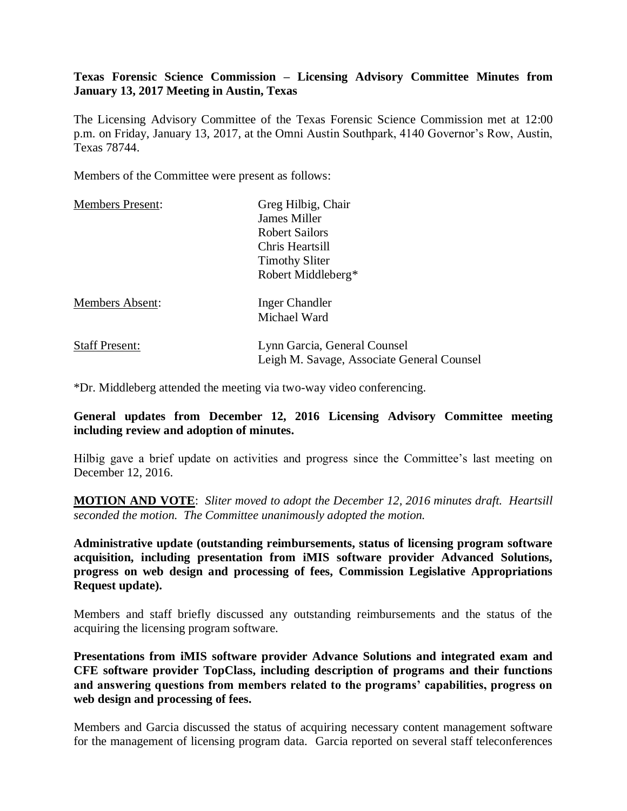## **Texas Forensic Science Commission – Licensing Advisory Committee Minutes from January 13, 2017 Meeting in Austin, Texas**

The Licensing Advisory Committee of the Texas Forensic Science Commission met at 12:00 p.m. on Friday, January 13, 2017, at the Omni Austin Southpark, 4140 Governor's Row, Austin, Texas 78744.

Members of the Committee were present as follows:

| <b>Members Present:</b> | Greg Hilbig, Chair                         |
|-------------------------|--------------------------------------------|
|                         | James Miller                               |
|                         | <b>Robert Sailors</b>                      |
|                         | Chris Heartsill                            |
|                         | <b>Timothy Sliter</b>                      |
|                         | Robert Middleberg*                         |
| <b>Members Absent:</b>  | Inger Chandler                             |
|                         | Michael Ward                               |
| <b>Staff Present:</b>   | Lynn Garcia, General Counsel               |
|                         | Leigh M. Savage, Associate General Counsel |

\*Dr. Middleberg attended the meeting via two-way video conferencing.

### **General updates from December 12, 2016 Licensing Advisory Committee meeting including review and adoption of minutes.**

Hilbig gave a brief update on activities and progress since the Committee's last meeting on December 12, 2016.

**MOTION AND VOTE**: *Sliter moved to adopt the December 12, 2016 minutes draft. Heartsill seconded the motion. The Committee unanimously adopted the motion.*

**Administrative update (outstanding reimbursements, status of licensing program software acquisition, including presentation from iMIS software provider Advanced Solutions, progress on web design and processing of fees, Commission Legislative Appropriations Request update).** 

Members and staff briefly discussed any outstanding reimbursements and the status of the acquiring the licensing program software.

**Presentations from iMIS software provider Advance Solutions and integrated exam and CFE software provider TopClass, including description of programs and their functions and answering questions from members related to the programs' capabilities, progress on web design and processing of fees.**

Members and Garcia discussed the status of acquiring necessary content management software for the management of licensing program data. Garcia reported on several staff teleconferences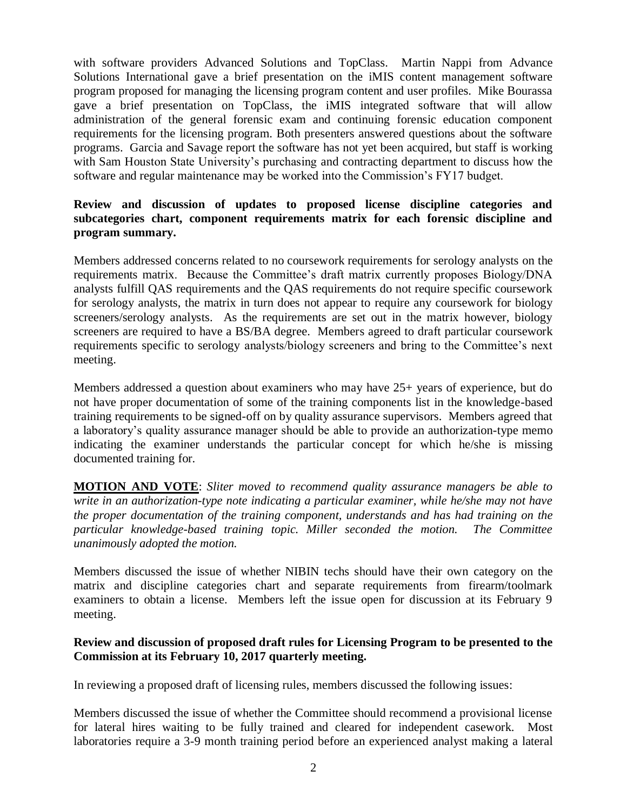with software providers Advanced Solutions and TopClass. Martin Nappi from Advance Solutions International gave a brief presentation on the iMIS content management software program proposed for managing the licensing program content and user profiles. Mike Bourassa gave a brief presentation on TopClass, the iMIS integrated software that will allow administration of the general forensic exam and continuing forensic education component requirements for the licensing program. Both presenters answered questions about the software programs. Garcia and Savage report the software has not yet been acquired, but staff is working with Sam Houston State University's purchasing and contracting department to discuss how the software and regular maintenance may be worked into the Commission's FY17 budget.

# **Review and discussion of updates to proposed license discipline categories and subcategories chart, component requirements matrix for each forensic discipline and program summary.**

Members addressed concerns related to no coursework requirements for serology analysts on the requirements matrix. Because the Committee's draft matrix currently proposes Biology/DNA analysts fulfill QAS requirements and the QAS requirements do not require specific coursework for serology analysts, the matrix in turn does not appear to require any coursework for biology screeners/serology analysts. As the requirements are set out in the matrix however, biology screeners are required to have a BS/BA degree. Members agreed to draft particular coursework requirements specific to serology analysts/biology screeners and bring to the Committee's next meeting.

Members addressed a question about examiners who may have 25+ years of experience, but do not have proper documentation of some of the training components list in the knowledge-based training requirements to be signed-off on by quality assurance supervisors. Members agreed that a laboratory's quality assurance manager should be able to provide an authorization-type memo indicating the examiner understands the particular concept for which he/she is missing documented training for.

**MOTION AND VOTE**: *Sliter moved to recommend quality assurance managers be able to write in an authorization-type note indicating a particular examiner, while he/she may not have the proper documentation of the training component, understands and has had training on the particular knowledge-based training topic. Miller seconded the motion. The Committee unanimously adopted the motion.*

Members discussed the issue of whether NIBIN techs should have their own category on the matrix and discipline categories chart and separate requirements from firearm/toolmark examiners to obtain a license. Members left the issue open for discussion at its February 9 meeting.

### **Review and discussion of proposed draft rules for Licensing Program to be presented to the Commission at its February 10, 2017 quarterly meeting.**

In reviewing a proposed draft of licensing rules, members discussed the following issues:

Members discussed the issue of whether the Committee should recommend a provisional license for lateral hires waiting to be fully trained and cleared for independent casework. Most laboratories require a 3-9 month training period before an experienced analyst making a lateral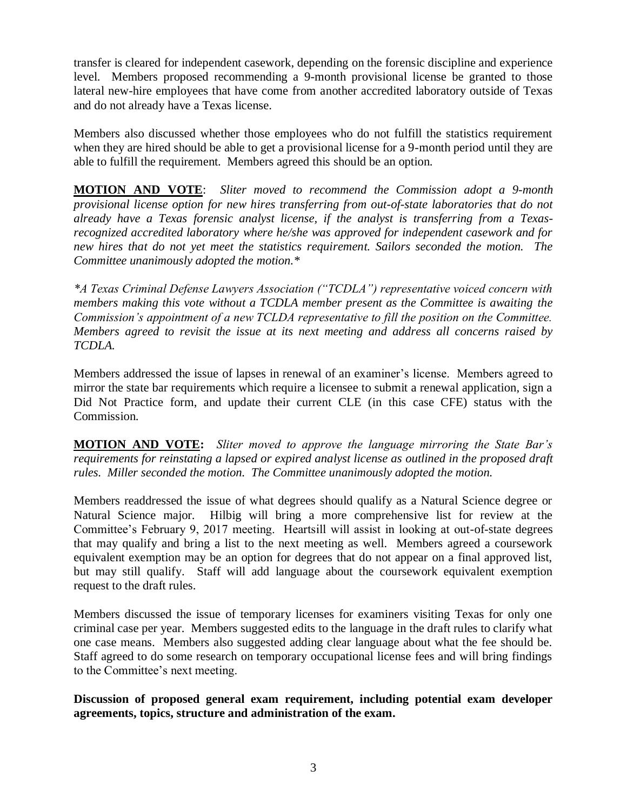transfer is cleared for independent casework, depending on the forensic discipline and experience level. Members proposed recommending a 9-month provisional license be granted to those lateral new-hire employees that have come from another accredited laboratory outside of Texas and do not already have a Texas license.

Members also discussed whether those employees who do not fulfill the statistics requirement when they are hired should be able to get a provisional license for a 9-month period until they are able to fulfill the requirement. Members agreed this should be an option.

**MOTION AND VOTE**: *Sliter moved to recommend the Commission adopt a 9-month provisional license option for new hires transferring from out-of-state laboratories that do not already have a Texas forensic analyst license, if the analyst is transferring from a Texasrecognized accredited laboratory where he/she was approved for independent casework and for new hires that do not yet meet the statistics requirement. Sailors seconded the motion. The Committee unanimously adopted the motion.\**

*\*A Texas Criminal Defense Lawyers Association ("TCDLA") representative voiced concern with members making this vote without a TCDLA member present as the Committee is awaiting the Commission's appointment of a new TCLDA representative to fill the position on the Committee. Members agreed to revisit the issue at its next meeting and address all concerns raised by TCDLA.*

Members addressed the issue of lapses in renewal of an examiner's license. Members agreed to mirror the state bar requirements which require a licensee to submit a renewal application, sign a Did Not Practice form, and update their current CLE (in this case CFE) status with the Commission.

**MOTION AND VOTE:** *Sliter moved to approve the language mirroring the State Bar's requirements for reinstating a lapsed or expired analyst license as outlined in the proposed draft rules. Miller seconded the motion. The Committee unanimously adopted the motion.*

Members readdressed the issue of what degrees should qualify as a Natural Science degree or Natural Science major. Hilbig will bring a more comprehensive list for review at the Committee's February 9, 2017 meeting. Heartsill will assist in looking at out-of-state degrees that may qualify and bring a list to the next meeting as well. Members agreed a coursework equivalent exemption may be an option for degrees that do not appear on a final approved list, but may still qualify. Staff will add language about the coursework equivalent exemption request to the draft rules.

Members discussed the issue of temporary licenses for examiners visiting Texas for only one criminal case per year. Members suggested edits to the language in the draft rules to clarify what one case means. Members also suggested adding clear language about what the fee should be. Staff agreed to do some research on temporary occupational license fees and will bring findings to the Committee's next meeting.

**Discussion of proposed general exam requirement, including potential exam developer agreements, topics, structure and administration of the exam.**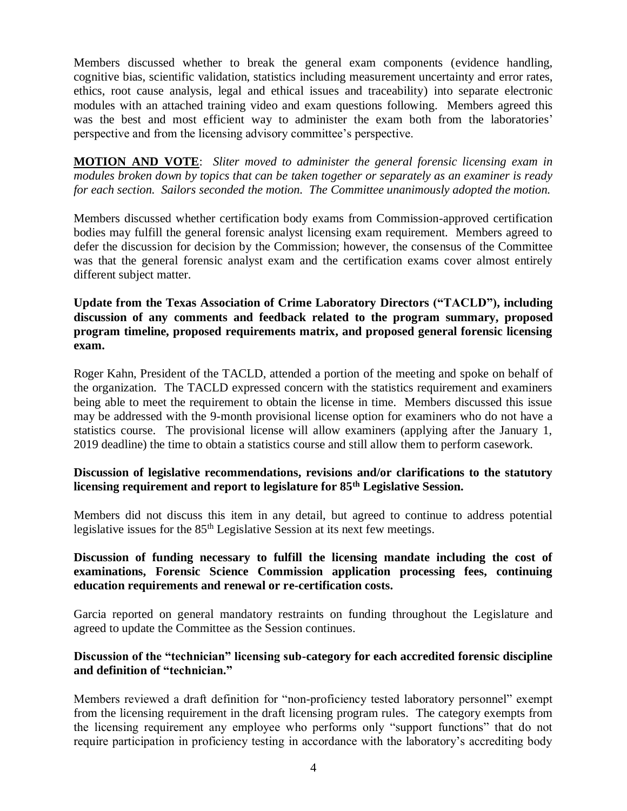Members discussed whether to break the general exam components (evidence handling, cognitive bias, scientific validation, statistics including measurement uncertainty and error rates, ethics, root cause analysis, legal and ethical issues and traceability) into separate electronic modules with an attached training video and exam questions following. Members agreed this was the best and most efficient way to administer the exam both from the laboratories' perspective and from the licensing advisory committee's perspective.

**MOTION AND VOTE**: *Sliter moved to administer the general forensic licensing exam in modules broken down by topics that can be taken together or separately as an examiner is ready for each section. Sailors seconded the motion. The Committee unanimously adopted the motion.*

Members discussed whether certification body exams from Commission-approved certification bodies may fulfill the general forensic analyst licensing exam requirement. Members agreed to defer the discussion for decision by the Commission; however, the consensus of the Committee was that the general forensic analyst exam and the certification exams cover almost entirely different subject matter.

**Update from the Texas Association of Crime Laboratory Directors ("TACLD"), including discussion of any comments and feedback related to the program summary, proposed program timeline, proposed requirements matrix, and proposed general forensic licensing exam.** 

Roger Kahn, President of the TACLD, attended a portion of the meeting and spoke on behalf of the organization. The TACLD expressed concern with the statistics requirement and examiners being able to meet the requirement to obtain the license in time. Members discussed this issue may be addressed with the 9-month provisional license option for examiners who do not have a statistics course. The provisional license will allow examiners (applying after the January 1, 2019 deadline) the time to obtain a statistics course and still allow them to perform casework.

### **Discussion of legislative recommendations, revisions and/or clarifications to the statutory licensing requirement and report to legislature for 85th Legislative Session.**

Members did not discuss this item in any detail, but agreed to continue to address potential legislative issues for the 85<sup>th</sup> Legislative Session at its next few meetings.

# **Discussion of funding necessary to fulfill the licensing mandate including the cost of examinations, Forensic Science Commission application processing fees, continuing education requirements and renewal or re-certification costs.**

Garcia reported on general mandatory restraints on funding throughout the Legislature and agreed to update the Committee as the Session continues.

### **Discussion of the "technician" licensing sub-category for each accredited forensic discipline and definition of "technician."**

Members reviewed a draft definition for "non-proficiency tested laboratory personnel" exempt from the licensing requirement in the draft licensing program rules. The category exempts from the licensing requirement any employee who performs only "support functions" that do not require participation in proficiency testing in accordance with the laboratory's accrediting body